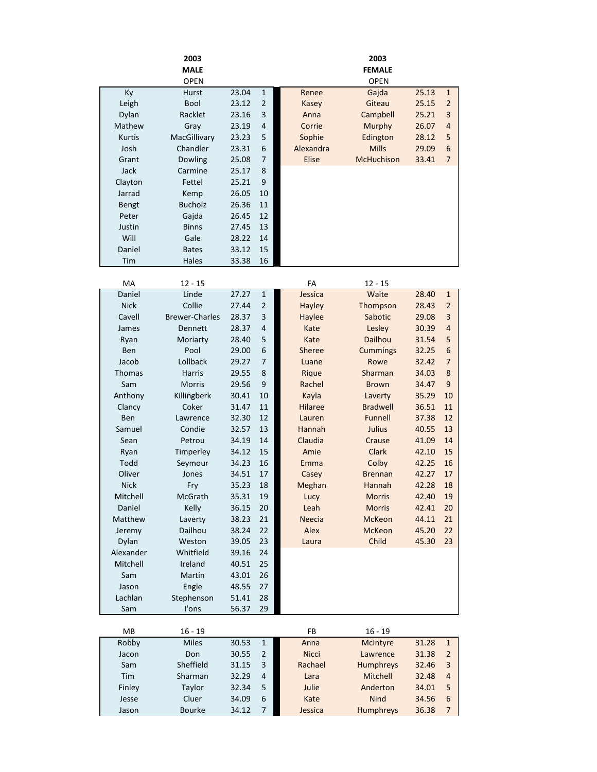|               | 2003                  |       |                | 2003           |                      |       |                  |  |
|---------------|-----------------------|-------|----------------|----------------|----------------------|-------|------------------|--|
|               | <b>MALE</b>           |       |                |                | <b>FEMALE</b>        |       |                  |  |
| Ky            | <b>OPEN</b><br>Hurst  | 23.04 | $\mathbf{1}$   | Renee          | <b>OPEN</b><br>Gajda | 25.13 | $\mathbf{1}$     |  |
| Leigh         | Bool                  | 23.12 | $\overline{2}$ | Kasey          | Giteau               | 25.15 | $\overline{2}$   |  |
| Dylan         | Racklet               | 23.16 | 3              | Anna           | Campbell             | 25.21 | 3                |  |
| Mathew        | Gray                  | 23.19 | 4              | Corrie         | Murphy               | 26.07 | 4                |  |
| <b>Kurtis</b> | MacGillivary          | 23.23 | 5              | Sophie         | Edington             | 28.12 | 5                |  |
| Josh          | Chandler              | 23.31 | 6              | Alexandra      | <b>Mills</b>         | 29.09 | $6\phantom{1}6$  |  |
| Grant         | <b>Dowling</b>        | 25.08 | 7              | <b>Elise</b>   | McHuchison           | 33.41 | $\overline{7}$   |  |
| Jack          | Carmine               | 25.17 | 8              |                |                      |       |                  |  |
| Clayton       | Fettel                | 25.21 | 9              |                |                      |       |                  |  |
| Jarrad        | Kemp                  | 26.05 | 10             |                |                      |       |                  |  |
| Bengt         | <b>Bucholz</b>        | 26.36 | 11             |                |                      |       |                  |  |
| Peter         | Gajda                 | 26.45 | 12             |                |                      |       |                  |  |
| Justin        | <b>Binns</b>          | 27.45 | 13             |                |                      |       |                  |  |
| Will          | Gale                  | 28.22 | 14             |                |                      |       |                  |  |
| Daniel        | <b>Bates</b>          | 33.12 | 15             |                |                      |       |                  |  |
| Tim           | <b>Hales</b>          | 33.38 | 16             |                |                      |       |                  |  |
|               |                       |       |                |                |                      |       |                  |  |
| MA            | $12 - 15$             |       |                | FA             | $12 - 15$            |       |                  |  |
| Daniel        | Linde                 | 27.27 | 1              | Jessica        | Waite                | 28.40 | $1\,$            |  |
| <b>Nick</b>   | Collie                | 27.44 | 2              | Hayley         | Thompson             | 28.43 | $\overline{2}$   |  |
| Cavell        | <b>Brewer-Charles</b> | 28.37 | 3              | Haylee         | Sabotic              | 29.08 | 3                |  |
| James         | Dennett               | 28.37 | 4              | Kate           | Lesley               | 30.39 | $\overline{4}$   |  |
| Ryan          | Moriarty              | 28.40 | 5              | Kate           | Dailhou              | 31.54 | 5                |  |
| Ben           | Pool                  | 29.00 | 6              | Sheree         | <b>Cummings</b>      | 32.25 | $6\phantom{1}6$  |  |
| Jacob         | Lollback              | 29.27 | 7              | Luane          | Rowe                 | 32.42 | $\overline{7}$   |  |
| <b>Thomas</b> | <b>Harris</b>         | 29.55 | 8              | Rique          | Sharman              | 34.03 | 8                |  |
| Sam           | <b>Morris</b>         | 29.56 | 9              | Rachel         | <b>Brown</b>         | 34.47 | 9                |  |
| Anthony       | Killingberk           | 30.41 | 10             | Kayla          | Laverty              | 35.29 | 10               |  |
| Clancy        | Coker                 | 31.47 | 11             | <b>Hilaree</b> | <b>Bradwell</b>      | 36.51 | 11               |  |
| Ben           | Lawrence              | 32.30 | 12             | Lauren         | Funnell              | 37.38 | 12               |  |
| Samuel        | Condie                | 32.57 | 13             | Hannah         | Julius               | 40.55 | 13               |  |
| Sean          | Petrou                | 34.19 | 14             | Claudia        | Crause               | 41.09 | 14               |  |
| Ryan          | Timperley             | 34.12 | 15             | Amie           | Clark                | 42.10 | 15               |  |
| Todd          | Seymour               | 34.23 | 16             | Emma           | Colby                | 42.25 | 16               |  |
| Oliver        | Jones                 | 34.51 | 17             | Casey          | <b>Brennan</b>       | 42.27 | 17               |  |
| <b>Nick</b>   | Fry                   | 35.23 | 18             | Meghan         | <b>Hannah</b>        | 42.28 | 18               |  |
| Mitchell      | McGrath               | 35.31 | 19             | Lucy           | <b>Morris</b>        | 42.40 | 19               |  |
| Daniel        | Kelly                 | 36.15 | 20             | Leah           | <b>Morris</b>        | 42.41 | 20               |  |
| Matthew       | Laverty               | 38.23 | 21             | <b>Neecia</b>  | <b>McKeon</b>        | 44.11 | 21               |  |
| Jeremy        | Dailhou               | 38.24 | 22             | Alex           | <b>McKeon</b>        | 45.20 | 22               |  |
| Dylan         | Weston                | 39.05 | 23             | Laura          | Child                | 45.30 | 23               |  |
| Alexander     | Whitfield             | 39.16 | 24             |                |                      |       |                  |  |
| Mitchell      | Ireland               | 40.51 | 25             |                |                      |       |                  |  |
| Sam           | Martin                | 43.01 | 26             |                |                      |       |                  |  |
| Jason         | Engle                 | 48.55 | 27             |                |                      |       |                  |  |
| Lachlan       | Stephenson            | 51.41 | 28             |                |                      |       |                  |  |
| Sam           | I'ons                 | 56.37 | 29             |                |                      |       |                  |  |
|               |                       |       |                |                |                      |       |                  |  |
| MB            | $16 - 19$             |       |                | FB             | $16 - 19$            |       |                  |  |
| Robby         | <b>Miles</b>          | 30.53 | $\mathbf{1}$   | Anna           | McIntyre             | 31.28 | $\mathbf 1$      |  |
| Jacon         | Don                   | 30.55 | $\overline{2}$ | <b>Nicci</b>   | Lawrence             | 31.38 | $\overline{2}$   |  |
| Sam           | Sheffield             | 31.15 | 3              | Rachael        | Humphreys            | 32.46 | 3                |  |
| Tim           | Sharman               | 32.29 | 4              | Lara           | Mitchell             | 32.48 | 4                |  |
| Finley        | Taylor                | 32.34 | 5              | Julie          | Anderton             | 34.01 | 5                |  |
| Jesse         | Cluer                 | 34.09 | 6              | Kate           | <b>Nind</b>          | 34.56 | $\boldsymbol{6}$ |  |
| Jason         | <b>Bourke</b>         | 34.12 | $\overline{7}$ | Jessica        | Humphreys            | 36.38 | 7                |  |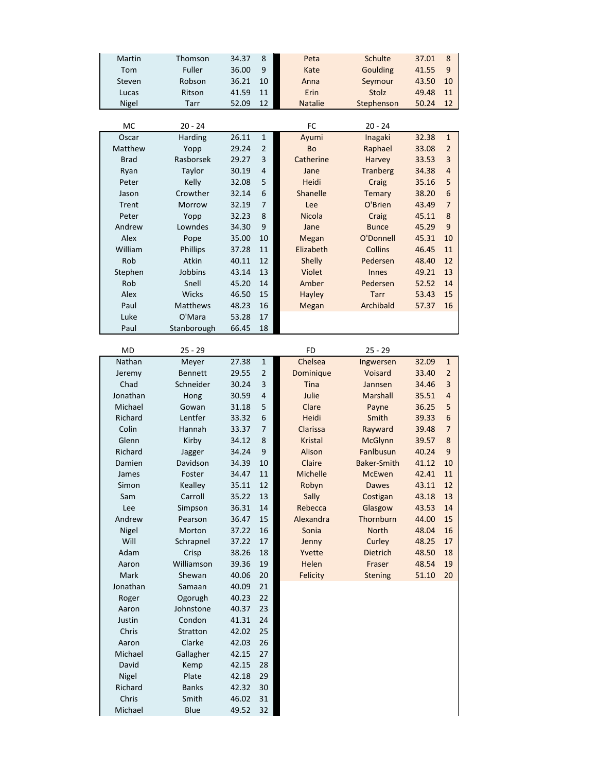| Martin       | Thomson         | 34.37<br>8 |                | Peta            | <b>Schulte</b>     | 37.01 | 8                |
|--------------|-----------------|------------|----------------|-----------------|--------------------|-------|------------------|
| Tom          | Fuller          | 36.00      | 9              | Kate            | Goulding           | 41.55 | 9                |
| Steven       | Robson          | 36.21      | 10             | Anna            | Seymour            | 43.50 | 10               |
| Lucas        | Ritson          | 41.59      | 11             | Erin            | Stolz              | 49.48 | 11               |
| <b>Nigel</b> | Tarr            | 52.09      | 12             | <b>Natalie</b>  | Stephenson         | 50.24 | 12               |
|              |                 |            |                |                 |                    |       |                  |
| MC           | $20 - 24$       |            |                | FC              | $20 - 24$          |       |                  |
| Oscar        | Harding         | 26.11      | $\mathbf 1$    | Ayumi           | Inagaki            | 32.38 | $1\,$            |
| Matthew      | Yopp            | 29.24      | $\overline{2}$ | Bo              | Raphael            | 33.08 | $\overline{2}$   |
| <b>Brad</b>  | Rasborsek       | 29.27      | 3              | Catherine       | Harvey             | 33.53 | 3                |
| Ryan         | Taylor          | 30.19      | $\overline{4}$ | Jane            | <b>Tranberg</b>    | 34.38 | $\overline{4}$   |
| Peter        | Kelly           | 32.08      | 5              | Heidi           | Craig              | 35.16 | 5                |
| Jason        | Crowther        | 32.14      | 6              | Shanelle        | Temary             | 38.20 | 6                |
| Trent        | Morrow          | 32.19      | $\overline{7}$ | Lee             | O'Brien            | 43.49 | $\overline{7}$   |
| Peter        | Yopp            | 32.23      | 8              | Nicola          | Craig              | 45.11 | $\bf 8$          |
| Andrew       | Lowndes         | 34.30      | 9              | Jane            | <b>Bunce</b>       | 45.29 | $\boldsymbol{9}$ |
| Alex         | Pope            | 35.00      | 10             | <b>Megan</b>    | O'Donnell          | 45.31 | 10               |
| William      | Phillips        | 37.28      | 11             | Elizabeth       | <b>Collins</b>     | 46.45 | 11               |
| Rob          | Atkin           | 40.11      | 12             | Shelly          | Pedersen           | 48.40 | 12               |
| Stephen      | Jobbins         | 43.14      | 13             | Violet          | <b>Innes</b>       | 49.21 | 13               |
| Rob          | Snell           | 45.20      | 14             | Amber           | Pedersen           | 52.52 | 14               |
| Alex         | Wicks           | 46.50      | 15             | <b>Hayley</b>   | <b>Tarr</b>        | 53.43 | 15               |
| Paul         | <b>Matthews</b> | 48.23      | 16             | <b>Megan</b>    | Archibald          | 57.37 | 16               |
| Luke         | O'Mara          | 53.28      | 17             |                 |                    |       |                  |
| Paul         | Stanborough     | 66.45      | 18             |                 |                    |       |                  |
|              |                 |            |                |                 |                    |       |                  |
| <b>MD</b>    | $25 - 29$       |            |                | FD              | $25 - 29$          |       |                  |
| Nathan       | Meyer           | 27.38      | $\mathbf{1}$   | Chelsea         | Ingwersen          | 32.09 | $\mathbf{1}$     |
| Jeremy       | <b>Bennett</b>  | 29.55      | $\overline{2}$ | Dominique       | Voisard            | 33.40 | $\overline{2}$   |
| Chad         | Schneider       | 30.24      | $\mathsf 3$    | <b>Tina</b>     | Jannsen            | 34.46 | 3                |
| Jonathan     | Hong            | 30.59      | $\overline{4}$ | Julie           | Marshall           | 35.51 | $\overline{4}$   |
| Michael      | Gowan           | 31.18      | 5              | Clare           | Payne              | 36.25 | 5                |
| Richard      | Lentfer         | 33.32      | 6              | Heidi           | Smith              | 39.33 | 6                |
| Colin        | Hannah          | 33.37      | $\overline{7}$ | Clarissa        | Rayward            | 39.48 | $\overline{7}$   |
| Glenn        | Kirby           | 34.12      | 8              | <b>Kristal</b>  | <b>McGlynn</b>     | 39.57 | $\bf 8$          |
| Richard      | Jagger          | 34.24      | 9              | Alison          | Fanlbusun          | 40.24 | 9                |
| Damien       | Davidson        | 34.39      | 10             | Claire          | <b>Baker-Smith</b> | 41.12 | 10               |
| James        | Foster          | 34.47      | 11             | <b>Michelle</b> | <b>McEwen</b>      | 42.41 | 11               |
| Simon        | Kealley         | 35.11      | 12             | Robyn           | <b>Dawes</b>       | 43.11 | 12               |
| Sam          | Carroll         | 35.22      | 13             | Sally           | Costigan           | 43.18 | 13               |
| Lee          | Simpson         | 36.31      | $14\,$         | Rebecca         | Glasgow            | 43.53 | 14               |
| Andrew       | Pearson         | 36.47      | 15             | Alexandra       | Thornburn          | 44.00 | 15               |
| Nigel        | Morton          | 37.22      | 16             | Sonia           | <b>North</b>       | 48.04 | 16               |
| Will         | Schrapnel       | 37.22      | 17             | Jenny           | Curley             | 48.25 | 17               |
| Adam         | Crisp           | 38.26      | 18             | Yvette          | Dietrich           | 48.50 | 18               |
| Aaron        | Williamson      | 39.36      | 19             | Helen           | Fraser             | 48.54 | 19               |
| Mark         | Shewan          | 40.06      | $20\,$         | Felicity        | <b>Stening</b>     | 51.10 | 20               |
| Jonathan     | Samaan          | 40.09      | 21             |                 |                    |       |                  |
| Roger        | Ogorugh         | 40.23      | 22             |                 |                    |       |                  |
| Aaron        | Johnstone       | 40.37      | 23             |                 |                    |       |                  |
| Justin       | Condon          | 41.31      | 24             |                 |                    |       |                  |
| Chris        | Stratton        | 42.02      | 25             |                 |                    |       |                  |
| Aaron        | Clarke          | 42.03      | 26             |                 |                    |       |                  |
| Michael      | Gallagher       | 42.15      | 27             |                 |                    |       |                  |
| David        | Kemp            | 42.15      | 28             |                 |                    |       |                  |
| Nigel        | Plate           | 42.18      | 29             |                 |                    |       |                  |
| Richard      | <b>Banks</b>    | 42.32      | 30             |                 |                    |       |                  |
| Chris        | Smith           | 46.02      | 31             |                 |                    |       |                  |
| Michael      | Blue            | 49.52      | 32             |                 |                    |       |                  |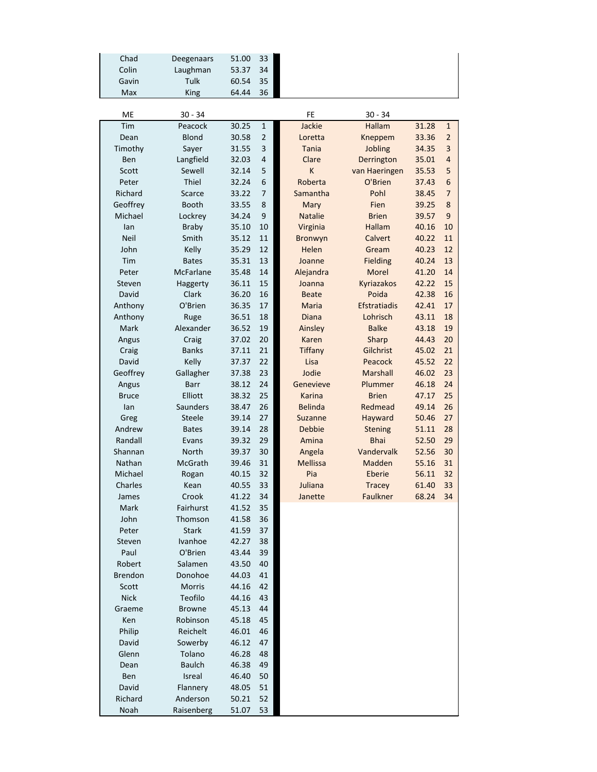| Chad           | Deegenaars    | 51.00 | 33             |                 |                     |       |                |
|----------------|---------------|-------|----------------|-----------------|---------------------|-------|----------------|
| Colin          | Laughman      | 53.37 | 34             |                 |                     |       |                |
| Gavin          | Tulk          | 60.54 | 35             |                 |                     |       |                |
| Max            | King          | 64.44 | 36             |                 |                     |       |                |
|                |               |       |                |                 |                     |       |                |
| ME             | $30 - 34$     |       |                | FE              | $30 - 34$           |       |                |
| Tim            | Peacock       | 30.25 | $\mathbf 1$    | Jackie          | <b>Hallam</b>       | 31.28 | $\mathbf 1$    |
| Dean           | <b>Blond</b>  | 30.58 | $\overline{2}$ | Loretta         | Kneppem             | 33.36 | $\overline{2}$ |
| Timothy        | Sayer         | 31.55 | 3              | <b>Tania</b>    | Jobling             | 34.35 | 3              |
| Ben            | Langfield     | 32.03 | 4              | Clare           | Derrington          | 35.01 | 4              |
| Scott          | Sewell        | 32.14 | 5              | K               | van Haeringen       | 35.53 | 5              |
| Peter          | Thiel         | 32.24 | 6              | Roberta         | O'Brien             | 37.43 | 6              |
| Richard        | <b>Scarce</b> | 33.22 | 7              | Samantha        | Pohl                | 38.45 | $\overline{7}$ |
| Geoffrey       | <b>Booth</b>  | 33.55 | 8              | Mary            | Fien                | 39.25 | 8              |
| Michael        | Lockrey       | 34.24 | 9              | <b>Natalie</b>  | <b>Brien</b>        | 39.57 | 9              |
| lan            | <b>Braby</b>  | 35.10 | 10             | Virginia        | <b>Hallam</b>       | 40.16 | 10             |
| <b>Neil</b>    | Smith         | 35.12 | 11             | Bronwyn         | Calvert             | 40.22 | 11             |
| John           | Kelly         | 35.29 | 12             | Helen           | Gream               | 40.23 | 12             |
| Tim            | <b>Bates</b>  | 35.31 | 13             | Joanne          | <b>Fielding</b>     | 40.24 | 13             |
| Peter          | McFarlane     | 35.48 | 14             | Alejandra       | Morel               | 41.20 | 14             |
| Steven         | Haggerty      | 36.11 | 15             | Joanna          | Kyriazakos          | 42.22 | 15             |
| David          | Clark         | 36.20 | 16             | <b>Beate</b>    | Poida               | 42.38 | 16             |
| Anthony        | O'Brien       | 36.35 | 17             | <b>Maria</b>    | <b>Efstratiadis</b> | 42.41 | 17             |
| Anthony        | Ruge          | 36.51 | 18             | <b>Diana</b>    | Lohrisch            | 43.11 | 18             |
| Mark           | Alexander     | 36.52 | 19             | Ainsley         | <b>Balke</b>        | 43.18 | 19             |
| Angus          | Craig         | 37.02 | 20             | Karen           | Sharp               | 44.43 | 20             |
| Craig          | <b>Banks</b>  | 37.11 | 21             | <b>Tiffany</b>  | Gilchrist           | 45.02 | 21             |
| David          | Kelly         | 37.37 | 22             | Lisa            | Peacock             | 45.52 | 22             |
| Geoffrey       | Gallagher     | 37.38 | 23             | Jodie           | Marshall            | 46.02 | 23             |
| Angus          | <b>Barr</b>   | 38.12 | 24             | Genevieve       | Plummer             | 46.18 | 24             |
| <b>Bruce</b>   | Elliott       | 38.32 | 25             | <b>Karina</b>   | <b>Brien</b>        | 47.17 | 25             |
| lan            | Saunders      | 38.47 | 26             | <b>Belinda</b>  | Redmead             | 49.14 | 26             |
| Greg           | <b>Steele</b> | 39.14 | 27             | Suzanne         | Hayward             | 50.46 | 27             |
| Andrew         | <b>Bates</b>  | 39.14 | 28             | <b>Debbie</b>   | <b>Stening</b>      | 51.11 | 28             |
| Randall        | Evans         | 39.32 | 29             | Amina           | <b>Bhai</b>         | 52.50 | 29             |
| Shannan        | North         | 39.37 | 30             | Angela          | Vandervalk          | 52.56 | 30             |
| Nathan         | McGrath       | 39.46 | 31             | <b>Mellissa</b> | Madden              | 55.16 | 31             |
| Michael        | Rogan         | 40.15 | 32             | Pia             | Eberie              | 56.11 | 32             |
| Charles        | Kean          | 40.55 | 33             | Juliana         | <b>Tracey</b>       | 61.40 | 33             |
| James          | Crook         | 41.22 | 34             | Janette         | Faulkner            | 68.24 | 34             |
| Mark           | Fairhurst     | 41.52 | 35             |                 |                     |       |                |
| John           | Thomson       | 41.58 | 36             |                 |                     |       |                |
| Peter          | <b>Stark</b>  | 41.59 | 37             |                 |                     |       |                |
| Steven         | Ivanhoe       | 42.27 | 38             |                 |                     |       |                |
| Paul           | O'Brien       | 43.44 | 39             |                 |                     |       |                |
| Robert         | Salamen       | 43.50 | 40             |                 |                     |       |                |
| <b>Brendon</b> | Donohoe       | 44.03 | 41             |                 |                     |       |                |
| Scott          | Morris        | 44.16 | 42             |                 |                     |       |                |
| <b>Nick</b>    | Teofilo       | 44.16 | 43             |                 |                     |       |                |
| Graeme         | <b>Browne</b> | 45.13 | 44             |                 |                     |       |                |
| Ken            | Robinson      | 45.18 | 45             |                 |                     |       |                |
| Philip         | Reichelt      | 46.01 | 46             |                 |                     |       |                |
| David          | Sowerby       | 46.12 | 47             |                 |                     |       |                |
| Glenn          | Tolano        | 46.28 | 48             |                 |                     |       |                |
| Dean           | <b>Baulch</b> | 46.38 | 49             |                 |                     |       |                |
| Ben            | Isreal        | 46.40 | 50             |                 |                     |       |                |
| David          | Flannery      | 48.05 | 51             |                 |                     |       |                |
| Richard        | Anderson      | 50.21 | 52             |                 |                     |       |                |
| Noah           | Raisenberg    | 51.07 | 53             |                 |                     |       |                |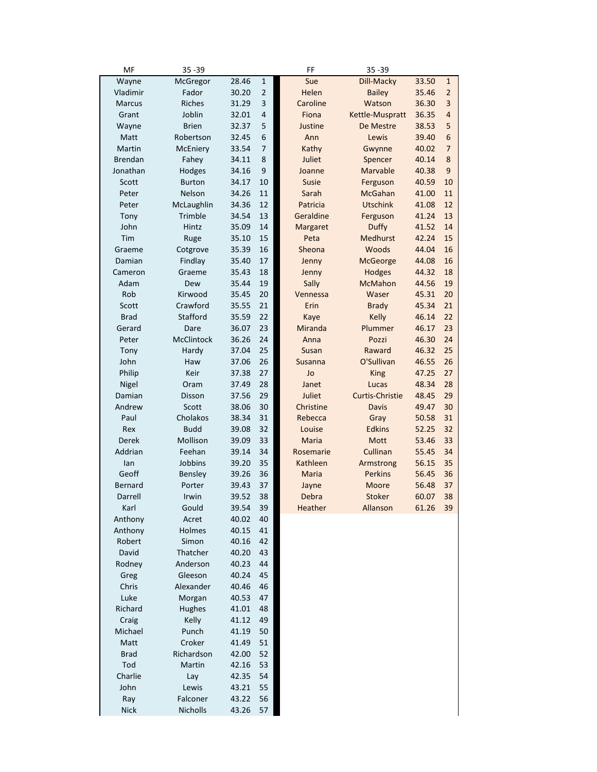|                         | $35 - 39$         |                |                  | FF                | 35 - 39                     |                   |                |
|-------------------------|-------------------|----------------|------------------|-------------------|-----------------------------|-------------------|----------------|
| Wayne                   | McGregor          | 28.46          | $\mathbf 1$      | Sue               | Dill-Macky                  | 33.50             | $\mathbf{1}$   |
| Vladimir                | Fador             | 30.20          | $\overline{2}$   | Helen             | <b>Bailey</b>               | 35.46             | $\overline{2}$ |
| <b>Marcus</b>           | Riches            | 31.29          | 3                | Caroline          | Watson                      | 36.30             | 3              |
| Grant                   | Joblin            | 32.01          | 4                | Fiona             | Kettle-Muspratt             | 36.35             | 4              |
| Wayne                   | <b>Brien</b>      | 32.37          | 5                | Justine           | De Mestre                   | 38.53             | 5              |
| Matt                    | Robertson         | 32.45          | 6                | Ann               | Lewis                       | 39.40             | 6              |
| Martin                  | McEniery          | 33.54          | $\overline{7}$   | Kathy             | Gwynne                      | 40.02             | 7              |
| <b>Brendan</b>          | Fahey             | 34.11          | 8                | Juliet            | Spencer                     | 40.14             | 8              |
| Jonathan                | Hodges            | 34.16          | $\boldsymbol{9}$ | Joanne            | Marvable                    | 40.38             | 9              |
| Scott                   | <b>Burton</b>     | 34.17          | 10               | Susie             | Ferguson                    | 40.59             | 10             |
| Peter                   | Nelson            | 34.26          | 11               | Sarah             | <b>McGahan</b>              | 41.00             | 11             |
| Peter                   | McLaughlin        | 34.36          | 12               | Patricia          | <b>Utschink</b>             | 41.08             | 12             |
| Tony                    | Trimble           | 34.54          | 13               | Geraldine         | Ferguson                    | 41.24             | 13             |
| John                    | Hintz             | 35.09          | 14               | Margaret          | <b>Duffy</b>                | 41.52             | 14             |
| Tim                     | Ruge              | 35.10          | 15               | Peta              | <b>Medhurst</b>             | 42.24             | 15             |
| Graeme                  | Cotgrove          | 35.39          | 16               | Sheona            | <b>Woods</b>                | 44.04             | 16             |
| Damian                  | Findlay           | 35.40          | 17               | Jenny             | <b>McGeorge</b>             | 44.08             | 16             |
| Cameron                 | Graeme            | 35.43          | 18               | Jenny             | <b>Hodges</b>               | 44.32             | 18             |
| Adam                    | Dew               | 35.44          | 19               | Sally             | <b>McMahon</b>              | 44.56             | 19             |
| Rob                     | Kirwood           | 35.45          | 20               | Vennessa          | Waser                       | 45.31             | 20             |
| Scott                   | Crawford          | 35.55          | 21               | Erin              | <b>Brady</b>                | 45.34             | 21             |
| <b>Brad</b>             | Stafford          | 35.59          | 22               | Kaye              | <b>Kelly</b>                | 46.14             | 22             |
| Gerard                  | Dare              | 36.07          | 23               | Miranda           | Plummer                     | 46.17             | 23             |
| Peter                   | McClintock        | 36.26          | 24               | Anna              | Pozzi                       | 46.30             | 24             |
| Tony                    | Hardy             | 37.04          | 25               | Susan             | Raward                      | 46.32             | 25             |
| John                    | Haw               | 37.06          | 26               | Susanna           | O'Sullivan                  | 46.55             | 26             |
| Philip                  | Keir              | 37.38          | 27               | Jo                | <b>King</b>                 | 47.25             | 27             |
| Nigel                   | Oram              | 37.49          | 28               | Janet             | Lucas                       | 48.34             | 28             |
| Damian                  | Disson            | 37.56          | 29               | Juliet            | Curtis-Christie             | 48.45             | 29             |
| Andrew                  | Scott             | 38.06          | 30               | Christine         | <b>Davis</b>                | 49.47             | 30             |
| Paul                    | Cholakos          | 38.34          | 31               | Rebecca           | Gray                        | 50.58             | 31             |
| Rex                     | <b>Budd</b>       | 39.08          | 32               | Louise            | <b>Edkins</b>               | 52.25             | 32             |
| Derek                   | Mollison          | 39.09          | 33               | Maria             | Mott                        | 53.46             | 33             |
| Addrian                 | Feehan            | 39.14          | 34               | Rosemarie         | Cullinan                    | 55.45             | 34             |
| lan                     | Jobbins           | 39.20          | 35<br>36         | Kathleen<br>Maria | Armstrong<br><b>Perkins</b> | 56.15             | 35<br>36       |
| Geoff<br><b>Bernard</b> | Bensley<br>Porter | 39.26<br>39.43 | 37               |                   | Moore                       | 56.45<br>56.48    | 37             |
|                         |                   | 39.52          | 38               | Jayne             | <b>Stoker</b>               |                   | 38             |
| Darrell<br>Karl         | Irwin<br>Gould    | 39.54          | 39               | Debra<br>Heather  | Allanson                    | 60.07<br>61.26 39 |                |
| Anthony                 | Acret             | 40.02          | 40               |                   |                             |                   |                |
| Anthony                 | Holmes            | 40.15          | 41               |                   |                             |                   |                |
| Robert                  | Simon             | 40.16          | 42               |                   |                             |                   |                |
| David                   | Thatcher          | 40.20          | 43               |                   |                             |                   |                |
| Rodney                  | Anderson          | 40.23          | 44               |                   |                             |                   |                |
| Greg                    | Gleeson           | 40.24          | 45               |                   |                             |                   |                |
| Chris                   | Alexander         | 40.46          | 46               |                   |                             |                   |                |
| Luke                    | Morgan            | 40.53          | 47               |                   |                             |                   |                |
| Richard                 | Hughes            | 41.01          | 48               |                   |                             |                   |                |
| Craig                   | Kelly             | 41.12          | 49               |                   |                             |                   |                |
| Michael                 | Punch             | 41.19          | 50               |                   |                             |                   |                |
| Matt                    | Croker            | 41.49          | 51               |                   |                             |                   |                |
| <b>Brad</b>             | Richardson        | 42.00          | 52               |                   |                             |                   |                |
| Tod                     | Martin            | 42.16          | 53               |                   |                             |                   |                |
| Charlie                 | Lay               | 42.35          | 54               |                   |                             |                   |                |
| John                    | Lewis             | 43.21          | 55               |                   |                             |                   |                |
|                         |                   |                |                  |                   |                             |                   |                |
| Ray                     | Falconer          | 43.22          | 56               |                   |                             |                   |                |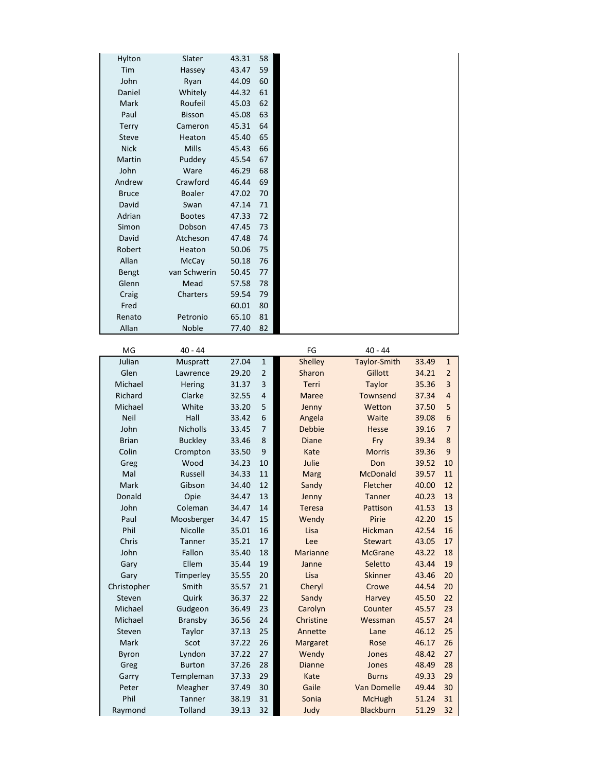| Hylton       | Slater         | 43.31 | 58           |                 |                 |       |                          |
|--------------|----------------|-------|--------------|-----------------|-----------------|-------|--------------------------|
| Tim          | Hassey         | 43.47 | 59           |                 |                 |       |                          |
| John         | Ryan           | 44.09 | 60           |                 |                 |       |                          |
| Daniel       | Whitely        | 44.32 | 61           |                 |                 |       |                          |
| Mark         | Roufeil        | 45.03 | 62           |                 |                 |       |                          |
| Paul         | <b>Bisson</b>  | 45.08 | 63           |                 |                 |       |                          |
|              | Cameron        | 45.31 | 64           |                 |                 |       |                          |
| <b>Terry</b> |                |       | 65           |                 |                 |       |                          |
| <b>Steve</b> | Heaton         | 45.40 |              |                 |                 |       |                          |
| <b>Nick</b>  | Mills          | 45.43 | 66           |                 |                 |       |                          |
| Martin       | Puddey         | 45.54 | 67           |                 |                 |       |                          |
| John         | Ware           | 46.29 | 68           |                 |                 |       |                          |
| Andrew       | Crawford       | 46.44 | 69           |                 |                 |       |                          |
| <b>Bruce</b> | Boaler         | 47.02 | 70           |                 |                 |       |                          |
| David        | Swan           | 47.14 | 71           |                 |                 |       |                          |
| Adrian       | <b>Bootes</b>  | 47.33 | 72           |                 |                 |       |                          |
| Simon        | Dobson         | 47.45 | 73           |                 |                 |       |                          |
| David        | Atcheson       | 47.48 | 74           |                 |                 |       |                          |
| Robert       | Heaton         | 50.06 | 75           |                 |                 |       |                          |
| Allan        | McCay          | 50.18 | 76           |                 |                 |       |                          |
| Bengt        | van Schwerin   | 50.45 | 77           |                 |                 |       |                          |
| Glenn        | Mead           | 57.58 | 78           |                 |                 |       |                          |
|              |                | 59.54 |              |                 |                 |       |                          |
| Craig        | Charters       |       | 79           |                 |                 |       |                          |
| Fred         |                | 60.01 | 80           |                 |                 |       |                          |
| Renato       | Petronio       | 65.10 | 81           |                 |                 |       |                          |
| Allan        | Noble          | 77.40 | 82           |                 |                 |       |                          |
|              |                |       |              |                 |                 |       |                          |
| MG           | $40 - 44$      |       |              | FG              | $40 - 44$       |       |                          |
| Julian       | Muspratt       | 27.04 | $\mathbf{1}$ | Shelley         | Taylor-Smith    | 33.49 | $\mathbf{1}$             |
| Glen         | Lawrence       | 29.20 | 2            | Sharon          | Gillott         | 34.21 | $\overline{\mathbf{c}}$  |
| Michael      | Hering         | 31.37 | 3            | Terri           | <b>Taylor</b>   | 35.36 | 3                        |
| Richard      | Clarke         | 32.55 | 4            | Maree           | Townsend        | 37.34 | 4                        |
| Michael      | White          | 33.20 | 5            | Jenny           | Wetton          | 37.50 | 5                        |
| <b>Neil</b>  | Hall           | 33.42 | 6            | Angela          | Waite           | 39.08 | 6                        |
| John         | Nicholls       | 33.45 | 7            | <b>Debbie</b>   | <b>Hesse</b>    | 39.16 | $\overline{\phantom{a}}$ |
| <b>Brian</b> | <b>Buckley</b> | 33.46 | 8            | <b>Diane</b>    | Fry             | 39.34 | 8                        |
| Colin        | Crompton       | 33.50 | 9            | Kate            | <b>Morris</b>   | 39.36 | $\boldsymbol{9}$         |
| Greg         | Wood           | 34.23 | 10           | Julie           | Don             | 39.52 | 10                       |
| Mal          | Russell        | 34.33 | 11           | Marg            | McDonald        | 39.57 | 11                       |
| Mark         | Gibson         | 34.40 | 12           |                 | <b>Fletcher</b> | 40.00 | 12                       |
|              |                |       |              | Sandy           |                 |       |                          |
| Donald       | Opie           | 34.47 | 13           | Jenny           | Tanner          | 40.23 | 13                       |
| John         | Coleman        | 34.47 | 14           | Teresa          | Pattison        | 41.53 | 13                       |
| Paul         | Moosberger     | 34.47 | 15           | Wendy           | Pirie           | 42.20 | 15                       |
| Phil         | Nicolle        | 35.01 | 16           | Lisa            | Hickman         | 42.54 | 16                       |
| Chris        | Tanner         | 35.21 | 17           | Lee             | <b>Stewart</b>  | 43.05 | 17                       |
| John         | Fallon         | 35.40 | 18           | <b>Marianne</b> | <b>McGrane</b>  | 43.22 | 18                       |
| Gary         | Ellem          | 35.44 | 19           | Janne           | Seletto         | 43.44 | 19                       |
| Gary         | Timperley      | 35.55 | 20           | Lisa            | <b>Skinner</b>  | 43.46 | 20                       |
| Christopher  | Smith          | 35.57 | 21           | Cheryl          | Crowe           | 44.54 | 20                       |
| Steven       | Quirk          | 36.37 | 22           | Sandy           | Harvey          | 45.50 | 22                       |
| Michael      | Gudgeon        | 36.49 | 23           | Carolyn         | Counter         | 45.57 | 23                       |
| Michael      | Bransby        | 36.56 | 24           | Christine       | Wessman         | 45.57 | 24                       |
| Steven       | Taylor         | 37.13 | 25           | Annette         | Lane            | 46.12 | 25                       |
| Mark         | Scot           | 37.22 | 26           |                 | Rose            | 46.17 | 26                       |
|              |                |       |              | Margaret        |                 |       |                          |
| Byron        | Lyndon         | 37.22 | 27           | Wendy           | Jones           | 48.42 | 27                       |
| Greg         | <b>Burton</b>  | 37.26 | 28           | <b>Dianne</b>   | Jones           | 48.49 | 28                       |
| Garry        | Templeman      | 37.33 | 29           | Kate            | <b>Burns</b>    | 49.33 | 29                       |
| Peter        | Meagher        | 37.49 | 30           | Gaile           | Van Domelle     | 49.44 | 30                       |
| Phil         | Tanner         | 38.19 | 31           | Sonia           | <b>McHugh</b>   | 51.24 | 31                       |
| Raymond      | Tolland        | 39.13 | 32           | Judy            | Blackburn       | 51.29 | 32                       |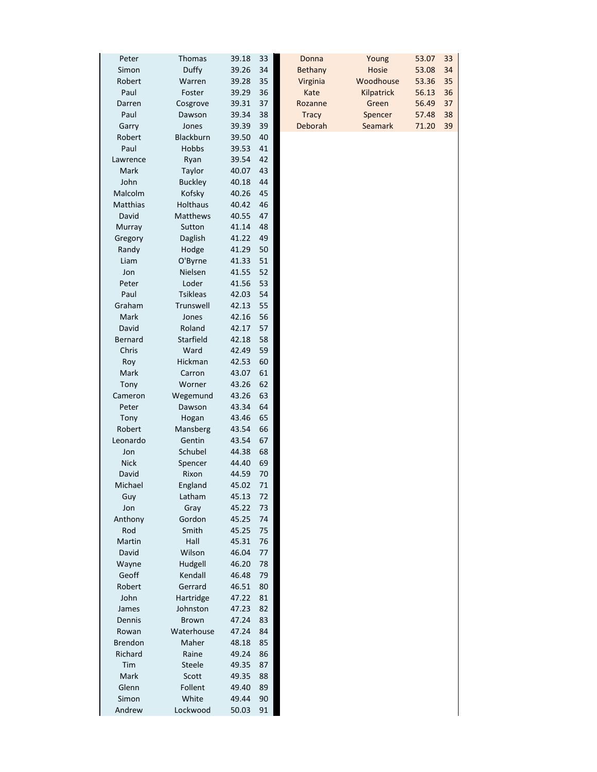| Peter          | 39.18<br><b>Thomas</b>   | 33 | Donna          |  |
|----------------|--------------------------|----|----------------|--|
| Simon          | Duffy<br>39.26           | 34 | <b>Bethany</b> |  |
| Robert         | 39.28<br>Warren          | 35 | Virginia       |  |
| Paul           | Foster<br>39.29          | 36 | Kate           |  |
| Darren         | 39.31<br>Cosgrove        | 37 | Rozanne        |  |
| Paul           | 39.34<br>Dawson          | 38 | <b>Tracy</b>   |  |
| Garry          | Jones<br>39.39           | 39 | Deborah        |  |
| Robert         | Blackburn<br>39.50       | 40 |                |  |
| Paul           | Hobbs<br>39.53           | 41 |                |  |
| Lawrence       | Ryan<br>39.54            | 42 |                |  |
| Mark           | Taylor<br>40.07          | 43 |                |  |
| John           | <b>Buckley</b><br>40.18  | 44 |                |  |
| Malcolm        | Kofsky<br>40.26          | 45 |                |  |
| Matthias       | <b>Holthaus</b><br>40.42 | 46 |                |  |
| David          | Matthews<br>40.55        | 47 |                |  |
| Murray         | Sutton<br>41.14          | 48 |                |  |
| Gregory        | Daglish<br>41.22         | 49 |                |  |
|                | 41.29                    | 50 |                |  |
| Randy          | Hodge                    |    |                |  |
| Liam           | O'Byrne<br>41.33         | 51 |                |  |
| Jon            | Nielsen<br>41.55         | 52 |                |  |
| Peter          | Loder<br>41.56           | 53 |                |  |
| Paul           | <b>Tsikleas</b><br>42.03 | 54 |                |  |
| Graham         | Trunswell<br>42.13       | 55 |                |  |
| Mark           | Jones<br>42.16           | 56 |                |  |
| David          | Roland<br>42.17          | 57 |                |  |
| Bernard        | Starfield<br>42.18       | 58 |                |  |
| Chris          | Ward<br>42.49            | 59 |                |  |
| Roy            | Hickman<br>42.53         | 60 |                |  |
| Mark           | 43.07<br>Carron          | 61 |                |  |
| Tony           | Worner<br>43.26          | 62 |                |  |
| Cameron        | 43.26<br>Wegemund        | 63 |                |  |
| Peter          | Dawson<br>43.34          | 64 |                |  |
| Tony           | 43.46<br>Hogan           | 65 |                |  |
| Robert         | Mansberg<br>43.54        | 66 |                |  |
| Leonardo       | Gentin<br>43.54          | 67 |                |  |
| Jon            | Schubel<br>44.38         | 68 |                |  |
| <b>Nick</b>    | 44.40<br>Spencer         | 69 |                |  |
| David          | Rixon<br>44.59           | 70 |                |  |
|                |                          |    |                |  |
| Michael        | England<br>45.02         | 71 |                |  |
| Guy            | Latham<br>45.13          | 72 |                |  |
| Jon            | 45.22<br>Gray            | 73 |                |  |
| Anthony        | Gordon<br>45.25          | 74 |                |  |
| Rod            | Smith<br>45.25           | 75 |                |  |
| Martin         | Hall<br>45.31            | 76 |                |  |
| David          | Wilson<br>46.04          | 77 |                |  |
| Wayne          | Hudgell<br>46.20         | 78 |                |  |
| Geoff          | Kendall<br>46.48         | 79 |                |  |
| Robert         | Gerrard<br>46.51         | 80 |                |  |
| John           | Hartridge<br>47.22       | 81 |                |  |
| James          | Johnston<br>47.23        | 82 |                |  |
| Dennis         | <b>Brown</b><br>47.24    | 83 |                |  |
| Rowan          | Waterhouse<br>47.24      | 84 |                |  |
|                |                          |    |                |  |
| <b>Brendon</b> | 48.18<br>Maher           | 85 |                |  |
| Richard        | 49.24<br>Raine           | 86 |                |  |
| Tim            | Steele<br>49.35          | 87 |                |  |
| Mark           | Scott<br>49.35           | 88 |                |  |
| Glenn          | Follent<br>49.40         | 89 |                |  |
| Simon          | White<br>49.44           | 90 |                |  |
| Andrew         | Lockwood<br>50.03        | 91 |                |  |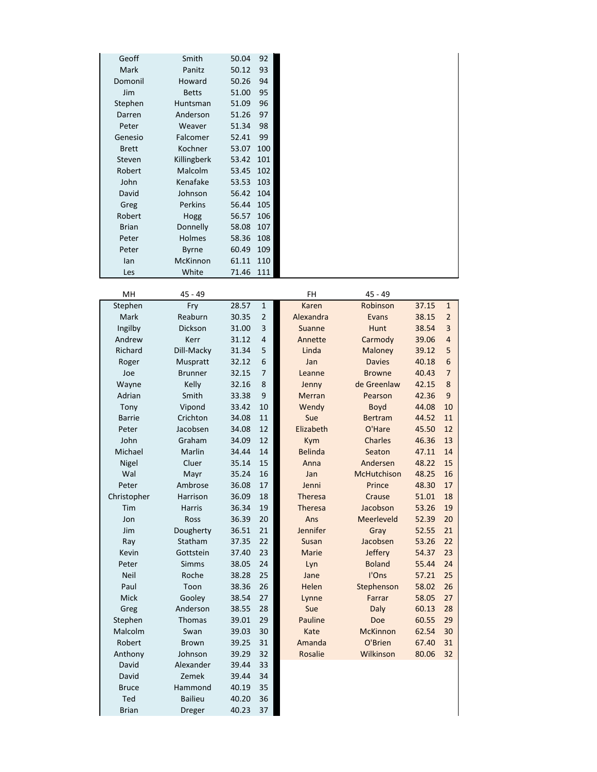| Geoff        | Smith           | 50.04 | 92  |
|--------------|-----------------|-------|-----|
| <b>Mark</b>  | Panitz          | 50.12 | 93  |
| Domonil      | Howard          | 50.26 | 94  |
| Jim          | <b>Betts</b>    | 51.00 | 95  |
| Stephen      | Huntsman        | 51.09 | 96  |
| Darren       | Anderson        | 51.26 | 97  |
| Peter        | Weaver          | 51.34 | 98  |
| Genesio      | Falcomer        | 52.41 | 99  |
| <b>Brett</b> | Kochner         | 53.07 | 100 |
| Steven       | Killingberk     | 53.42 | 101 |
| Robert       | Malcolm         | 53.45 | 102 |
| John         | Kenafake        | 53.53 | 103 |
| David        | Johnson         | 56.42 | 104 |
| Greg         | Perkins         | 56.44 | 105 |
| Robert       | Hogg            | 56.57 | 106 |
| <b>Brian</b> | Donnelly        | 58.08 | 107 |
| Peter        | Holmes          | 58.36 | 108 |
| Peter        | <b>Byrne</b>    | 60.49 | 109 |
| lan          | <b>McKinnon</b> | 61.11 | 110 |
| Les          | White           | 71.46 | 111 |

| MH            | $45 - 49$      |       |                  | FH             | $45 - 49$          |       |                |
|---------------|----------------|-------|------------------|----------------|--------------------|-------|----------------|
| Stephen       | Fry            | 28.57 | $\mathbf 1$      | Karen          | Robinson           | 37.15 | $\mathbf 1$    |
| Mark          | Reaburn        | 30.35 | $\overline{2}$   | Alexandra      | Evans              | 38.15 | $\overline{2}$ |
| Ingilby       | Dickson        | 31.00 | 3                | Suanne         | Hunt               | 38.54 | 3              |
| Andrew        | Kerr           | 31.12 | 4                | Annette        | Carmody            | 39.06 | $\overline{4}$ |
| Richard       | Dill-Macky     | 31.34 | 5                | Linda          | Maloney            | 39.12 | 5              |
| Roger         | Muspratt       | 32.12 | 6                | Jan            | <b>Davies</b>      | 40.18 | 6              |
| Joe           | <b>Brunner</b> | 32.15 | $\overline{7}$   | Leanne         | <b>Browne</b>      | 40.43 | $\overline{7}$ |
| Wayne         | Kelly          | 32.16 | 8                | Jenny          | de Greenlaw        | 42.15 | 8              |
| Adrian        | Smith          | 33.38 | $\boldsymbol{9}$ | <b>Merran</b>  | Pearson            | 42.36 | 9              |
| Tony          | Vipond         | 33.42 | 10               | Wendy          | Boyd               | 44.08 | 10             |
| <b>Barrie</b> | Crichton       | 34.08 | 11               | Sue            | <b>Bertram</b>     | 44.52 | 11             |
| Peter         | Jacobsen       | 34.08 | 12               | Elizabeth      | O'Hare             | 45.50 | 12             |
| John          | Graham         | 34.09 | 12               | Kym            | Charles            | 46.36 | 13             |
| Michael       | Marlin         | 34.44 | 14               | <b>Belinda</b> | Seaton             | 47.11 | 14             |
| Nigel         | Cluer          | 35.14 | 15               | Anna           | Andersen           | 48.22 | 15             |
| Wal           | Mayr           | 35.24 | 16               | Jan            | <b>McHutchison</b> | 48.25 | 16             |
| Peter         | Ambrose        | 36.08 | 17               | Jenni          | Prince             | 48.30 | 17             |
| Christopher   | Harrison       | 36.09 | 18               | <b>Theresa</b> | Crause             | 51.01 | 18             |
| Tim           | <b>Harris</b>  | 36.34 | 19               | <b>Theresa</b> | Jacobson           | 53.26 | 19             |
| Jon           | Ross           | 36.39 | 20               | Ans            | Meerleveld         | 52.39 | 20             |
| Jim           | Dougherty      | 36.51 | 21               | Jennifer       | Gray               | 52.55 | 21             |
| Ray           | Statham        | 37.35 | 22               | Susan          | Jacobsen           | 53.26 | 22             |
| Kevin         | Gottstein      | 37.40 | 23               | Marie          | Jeffery            | 54.37 | 23             |
| Peter         | <b>Simms</b>   | 38.05 | 24               | Lyn            | <b>Boland</b>      | 55.44 | 24             |
| <b>Neil</b>   | Roche          | 38.28 | 25               | Jane           | I'Ons              | 57.21 | 25             |
| Paul          | Toon           | 38.36 | 26               | Helen          | Stephenson         | 58.02 | 26             |
| Mick          | Gooley         | 38.54 | 27               | Lynne          | Farrar             | 58.05 | 27             |
| Greg          | Anderson       | 38.55 | 28               | Sue            | Daly               | 60.13 | 28             |
| Stephen       | Thomas         | 39.01 | 29               | Pauline        | Doe                | 60.55 | 29             |
| Malcolm       | Swan           | 39.03 | 30               | Kate           | <b>McKinnon</b>    | 62.54 | 30             |
| Robert        | <b>Brown</b>   | 39.25 | 31               | Amanda         | O'Brien            | 67.40 | 31             |
| Anthony       | Johnson        | 39.29 | 32               | Rosalie        | Wilkinson          | 80.06 | 32             |
| David         | Alexander      | 39.44 | 33               |                |                    |       |                |
| David         | Zemek          | 39.44 | 34               |                |                    |       |                |
| <b>Bruce</b>  | Hammond        | 40.19 | 35               |                |                    |       |                |
| Ted           | <b>Bailieu</b> | 40.20 | 36               |                |                    |       |                |
| <b>Brian</b>  | <b>Dreger</b>  | 40.23 | 37               |                |                    |       |                |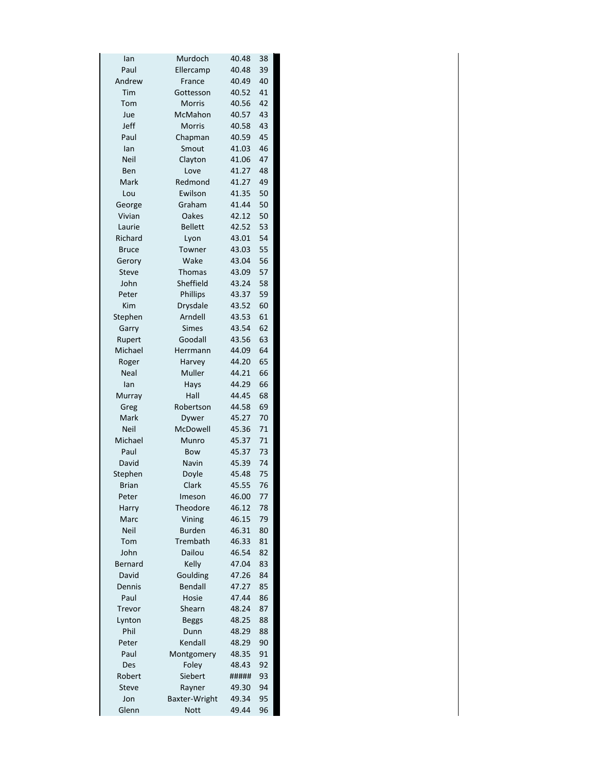| lan          | Murdoch              | 40.48 | 38 |
|--------------|----------------------|-------|----|
| Paul         | Ellercamp            | 40.48 | 39 |
| Andrew       | France               | 40.49 | 40 |
| Tim          | Gottesson            | 40.52 | 41 |
| Tom          | <b>Morris</b>        | 40.56 | 42 |
| Jue          | McMahon              | 40.57 | 43 |
| Jeff         | <b>Morris</b>        | 40.58 | 43 |
| Paul         | Chapman              | 40.59 | 45 |
| lan          | Smout                | 41.03 | 46 |
| Neil         | Clayton              | 41.06 | 47 |
| Ben          | Love                 | 41.27 | 48 |
| Mark         | Redmond              | 41.27 | 49 |
|              | Ewilson              | 41.35 | 50 |
| Lou          |                      |       |    |
| George       | Graham               | 41.44 | 50 |
| Vivian       | Oakes                | 42.12 | 50 |
| Laurie       | <b>Bellett</b>       | 42.52 | 53 |
| Richard      | Lyon                 | 43.01 | 54 |
| <b>Bruce</b> | Towner               | 43.03 | 55 |
| Gerory       | Wake                 | 43.04 | 56 |
| <b>Steve</b> | <b>Thomas</b>        | 43.09 | 57 |
| John         | Sheffield            | 43.24 | 58 |
| Peter        | Phillips             | 43.37 | 59 |
| Kim          | <b>Drysdale</b>      | 43.52 | 60 |
| Stephen      | Arndell              | 43.53 | 61 |
| Garry        | <b>Simes</b>         | 43.54 | 62 |
| Rupert       | Goodall              | 43.56 | 63 |
| Michael      | Herrmann             | 44.09 | 64 |
| Roger        | Harvey               | 44.20 | 65 |
| Neal         | Muller               | 44.21 | 66 |
| lan          | Hays                 | 44.29 | 66 |
| Murray       | Hall                 | 44.45 | 68 |
| Greg         | Robertson            | 44.58 | 69 |
| Mark         | Dywer                | 45.27 | 70 |
| <b>Neil</b>  | McDowell             | 45.36 | 71 |
|              |                      |       | 71 |
| Michael      | Munro                | 45.37 |    |
| Paul         | Bow                  | 45.37 | 73 |
| David        | Navin                | 45.39 | 74 |
| Stephen      | Doyle                | 45.48 | 75 |
| <b>Brian</b> | Clark                | 45.55 | 76 |
| Peter        | Imeson               | 46.00 | 77 |
| Harry        | Theodore             | 46.12 | 78 |
| Marc         | Vining               | 46.15 | 79 |
| <b>Neil</b>  | <b>Burden</b>        | 46.31 | 80 |
| Tom          | Trembath             | 46.33 | 81 |
| John         | Dailou               | 46.54 | 82 |
| Bernard      | Kelly                | 47.04 | 83 |
| David        | Goulding             | 47.26 | 84 |
| Dennis       | Bendall              | 47.27 | 85 |
| Paul         | Hosie                | 47.44 | 86 |
| Trevor       | Shearn               | 48.24 | 87 |
| Lynton       | <b>Beggs</b>         | 48.25 | 88 |
| Phil         | Dunn                 | 48.29 | 88 |
| Peter        | Kendall              | 48.29 | 90 |
| Paul         | Montgomery           | 48.35 | 91 |
| Des          | Foley                | 48.43 | 92 |
| Robert       | Siebert              | ##### | 93 |
| <b>Steve</b> | Rayner               | 49.30 | 94 |
| Jon          | <b>Baxter-Wright</b> | 49.34 | 95 |
|              |                      |       |    |
| Glenn        | <b>Nott</b>          | 49.44 | 96 |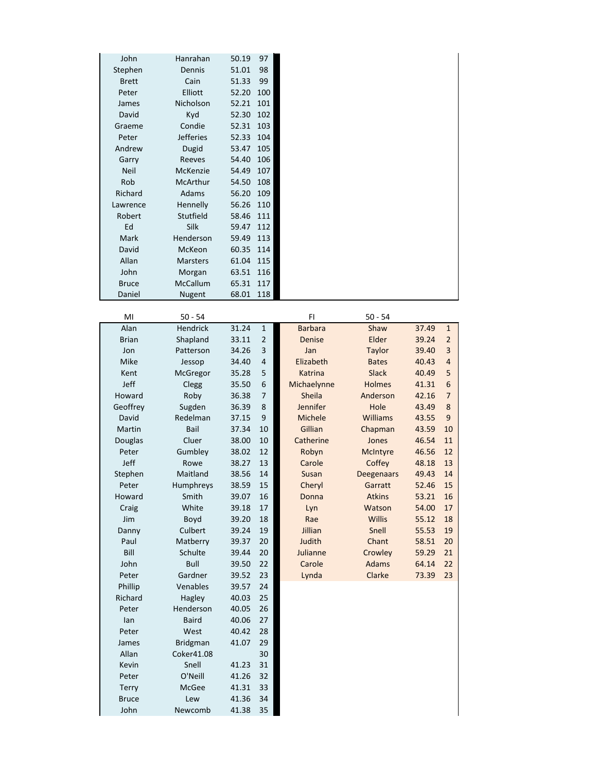| John           | Hanrahan         | 50.19 | 97             |                |                   |       |                |
|----------------|------------------|-------|----------------|----------------|-------------------|-------|----------------|
| Stephen        | Dennis           | 51.01 | 98             |                |                   |       |                |
| <b>Brett</b>   | Cain             | 51.33 | 99             |                |                   |       |                |
| Peter          | Elliott          | 52.20 | 100            |                |                   |       |                |
| James          | Nicholson        | 52.21 | 101            |                |                   |       |                |
| David          | Kyd              | 52.30 | 102            |                |                   |       |                |
| Graeme         | Condie           | 52.31 | 103            |                |                   |       |                |
| Peter          | <b>Jefferies</b> | 52.33 | 104            |                |                   |       |                |
|                |                  |       |                |                |                   |       |                |
| Andrew         | Dugid            | 53.47 | 105            |                |                   |       |                |
| Garry          | Reeves           | 54.40 | 106            |                |                   |       |                |
| <b>Neil</b>    | McKenzie         | 54.49 | 107            |                |                   |       |                |
| Rob            | McArthur         | 54.50 | 108            |                |                   |       |                |
| Richard        | Adams            | 56.20 | 109            |                |                   |       |                |
| Lawrence       | Hennelly         | 56.26 | 110            |                |                   |       |                |
| Robert         | Stutfield        | 58.46 | 111            |                |                   |       |                |
| Ed             | Silk             | 59.47 | 112            |                |                   |       |                |
| Mark           | Henderson        | 59.49 | 113            |                |                   |       |                |
| David          | McKeon           | 60.35 | 114            |                |                   |       |                |
| Allan          | <b>Marsters</b>  | 61.04 | 115            |                |                   |       |                |
| John           | Morgan           | 63.51 | 116            |                |                   |       |                |
| <b>Bruce</b>   | McCallum         | 65.31 | 117            |                |                   |       |                |
| Daniel         | Nugent           | 68.01 | 118            |                |                   |       |                |
|                |                  |       |                |                |                   |       |                |
| MI             | $50 - 54$        |       |                | FI             | $50 - 54$         |       |                |
| Alan           | Hendrick         | 31.24 | $\mathbf{1}$   | <b>Barbara</b> | Shaw              | 37.49 | $\mathbf{1}$   |
| <b>Brian</b>   | Shapland         | 33.11 | $\overline{2}$ | Denise         | Elder             | 39.24 | $\overline{2}$ |
| Jon            | Patterson        | 34.26 | 3              | Jan            | <b>Taylor</b>     | 39.40 | 3              |
| Mike           | Jessop           | 34.40 | 4              | Elizabeth      | <b>Bates</b>      | 40.43 | $\overline{4}$ |
| Kent           | McGregor         | 35.28 | 5              | Katrina        | <b>Slack</b>      | 40.49 | 5              |
| Jeff           | Clegg            | 35.50 | $\,6\,$        | Michaelynne    | <b>Holmes</b>     | 41.31 | 6              |
| Howard         | Roby             | 36.38 | 7              | <b>Sheila</b>  | Anderson          | 42.16 | $\overline{7}$ |
| Geoffrey       | Sugden           | 36.39 | 8              | Jennifer       | Hole              | 43.49 | 8              |
| David          | Redelman         | 37.15 | 9              | Michele        | <b>Williams</b>   | 43.55 | 9              |
| Martin         | Bail             | 37.34 | 10             | Gillian        | Chapman           | 43.59 | 10             |
| <b>Douglas</b> | Cluer            | 38.00 | 10             | Catherine      | Jones             | 46.54 | 11             |
| Peter          | Gumbley          | 38.02 | 12             | Robyn          | <b>McIntyre</b>   | 46.56 | 12             |
| Jeff           | Rowe             | 38.27 | 13             | Carole         | Coffey            | 48.18 | 13             |
| Stephen        | Maitland         | 38.56 | 14             | Susan          | <b>Deegenaars</b> | 49.43 | 14             |
| Peter          | Humphreys        | 38.59 | 15             | Cheryl         | Garratt           | 52.46 | 15             |
| Howard         | Smith            | 39.07 | 16             | Donna          | <b>Atkins</b>     | 53.21 | 16             |
| Craig          | White            | 39.18 | 17             | Lyn            | Watson            | 54.00 | 17             |
| Jim            | Boyd             | 39.20 | 18             | Rae            | Willis            | 55.12 | 18             |
| Danny          | Culbert          | 39.24 | 19             | Jillian        | Snell             | 55.53 | 19             |
| Paul           | Matberry         | 39.37 | 20             | Judith         | Chant             | 58.51 | 20             |
| Bill           | Schulte          | 39.44 | 20             | Julianne       | Crowley           | 59.29 | 21             |
|                |                  | 39.50 |                |                | <b>Adams</b>      |       |                |
| John           | Bull             |       | 22             | Carole         |                   | 64.14 | 22             |
| Peter          | Gardner          | 39.52 | 23             | Lynda          | Clarke            | 73.39 | 23             |
| Phillip        | Venables         | 39.57 | 24             |                |                   |       |                |
| Richard        | Hagley           | 40.03 | 25             |                |                   |       |                |
| Peter          | Henderson        | 40.05 | 26             |                |                   |       |                |
| lan            | <b>Baird</b>     | 40.06 | 27             |                |                   |       |                |
| Peter          | West             | 40.42 | 28             |                |                   |       |                |
| James          | <b>Bridgman</b>  | 41.07 | 29             |                |                   |       |                |
| Allan          | Coker41.08       |       | 30             |                |                   |       |                |
| Kevin          | Snell            | 41.23 | 31             |                |                   |       |                |
| Peter          | O'Neill          | 41.26 | 32             |                |                   |       |                |
| <b>Terry</b>   | McGee            | 41.31 | 33             |                |                   |       |                |
| <b>Bruce</b>   | Lew              | 41.36 | 34             |                |                   |       |                |
| John           | Newcomb          | 41.38 | 35             |                |                   |       |                |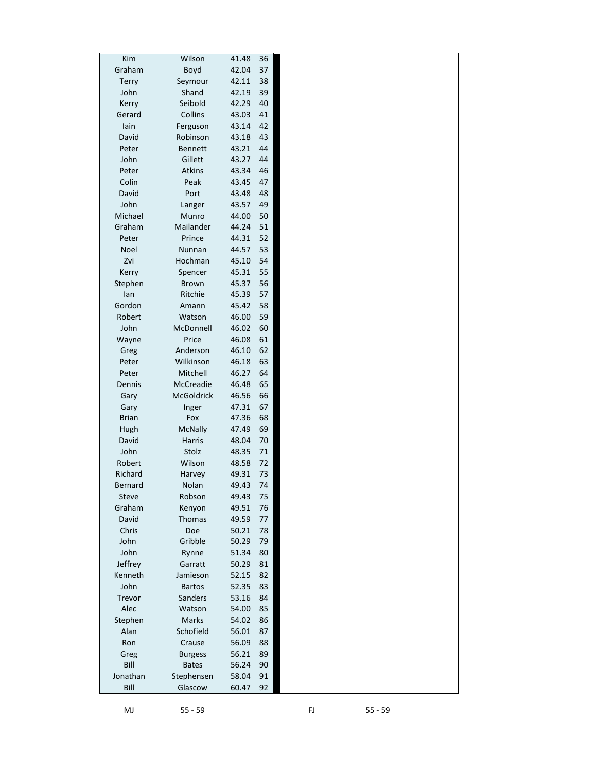| Kim            | Wilson            | 41.48 | 36 |  |
|----------------|-------------------|-------|----|--|
| Graham         | Boyd              | 42.04 | 37 |  |
| Terry          | Seymour           | 42.11 | 38 |  |
| John           | Shand             | 42.19 | 39 |  |
| Kerry          | Seibold           | 42.29 | 40 |  |
| Gerard         | Collins           | 43.03 | 41 |  |
| lain           | Ferguson          | 43.14 | 42 |  |
| David          | Robinson          | 43.18 | 43 |  |
| Peter          | <b>Bennett</b>    | 43.21 | 44 |  |
| John           | Gillett           | 43.27 | 44 |  |
| Peter          | <b>Atkins</b>     | 43.34 | 46 |  |
| Colin          | Peak              | 43.45 | 47 |  |
| David          | Port              | 43.48 | 48 |  |
| John           | Langer            | 43.57 | 49 |  |
| Michael        | Munro             | 44.00 | 50 |  |
| Graham         | Mailander         | 44.24 | 51 |  |
| Peter          | Prince            | 44.31 | 52 |  |
| Noel           | Nunnan            | 44.57 | 53 |  |
| Zvi            | Hochman           | 45.10 | 54 |  |
| Kerry          | Spencer           | 45.31 | 55 |  |
| Stephen        | <b>Brown</b>      | 45.37 | 56 |  |
| lan            | Ritchie           | 45.39 | 57 |  |
| Gordon         | Amann             | 45.42 | 58 |  |
| Robert         | Watson            | 46.00 | 59 |  |
| John           | McDonnell         | 46.02 | 60 |  |
| Wayne          | Price             | 46.08 | 61 |  |
| Greg           | Anderson          | 46.10 | 62 |  |
| Peter          | Wilkinson         | 46.18 | 63 |  |
| Peter          | Mitchell          | 46.27 | 64 |  |
| Dennis         | <b>McCreadie</b>  | 46.48 | 65 |  |
| Gary           | <b>McGoldrick</b> | 46.56 | 66 |  |
| Gary           | Inger             | 47.31 | 67 |  |
| <b>Brian</b>   | Fox               | 47.36 | 68 |  |
| <b>Hugh</b>    | <b>McNally</b>    | 47.49 | 69 |  |
| David          | <b>Harris</b>     | 48.04 | 70 |  |
| John           | Stolz             | 48.35 | 71 |  |
| Robert         | Wilson            | 48.58 | 72 |  |
| Richard        | Harvey            | 49.31 | 73 |  |
| <b>Bernard</b> | Nolan             | 49.43 | 74 |  |
| <b>Steve</b>   | Robson            | 49.43 | 75 |  |
| Graham         | Kenyon            | 49.51 | 76 |  |
| David          | <b>Thomas</b>     | 49.59 | 77 |  |
| Chris          | Doe               | 50.21 | 78 |  |
| John           | Gribble           | 50.29 | 79 |  |
| John           | Rynne             | 51.34 | 80 |  |
| Jeffrey        | Garratt           | 50.29 | 81 |  |
| Kenneth        | Jamieson          | 52.15 | 82 |  |
| John           | <b>Bartos</b>     | 52.35 | 83 |  |
| Trevor         | Sanders           | 53.16 | 84 |  |
| Alec           | Watson            | 54.00 | 85 |  |
| Stephen        | <b>Marks</b>      | 54.02 | 86 |  |
| Alan           | Schofield         | 56.01 | 87 |  |
| Ron            | Crause            | 56.09 | 88 |  |
| Greg           | <b>Burgess</b>    | 56.21 | 89 |  |
| Bill           | <b>Bates</b>      | 56.24 | 90 |  |
| Jonathan       | Stephensen        | 58.04 | 91 |  |
| Bill           | Glascow           | 60.47 | 92 |  |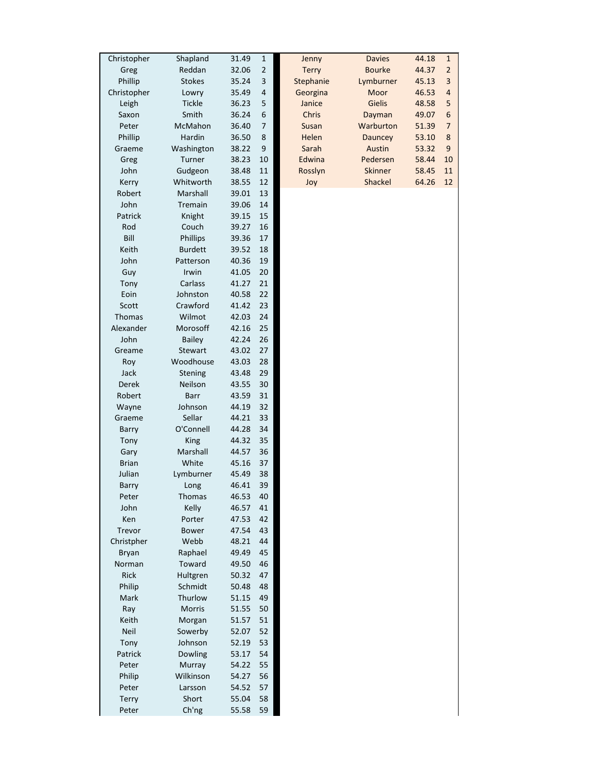| Christopher   | Shapland       | 31.49 | $1\,$       | Jenny        | <b>Davies</b> | 44.18<br>$\mathbf 1$             |
|---------------|----------------|-------|-------------|--------------|---------------|----------------------------------|
| Greg          | Reddan         | 32.06 | $\mathbf 2$ | <b>Terry</b> | <b>Bourke</b> | $\overline{\mathbf{c}}$<br>44.37 |
| Phillip       | <b>Stokes</b>  | 35.24 | 3           | Stephanie    | Lymburner     | 3<br>45.13                       |
| Christopher   | Lowry          | 35.49 | 4           | Georgina     | Moor          | $\overline{\mathbf{r}}$<br>46.53 |
| Leigh         | <b>Tickle</b>  | 36.23 | 5           | Janice       | Gielis        | 5<br>48.58                       |
| Saxon         | Smith          | 36.24 | 6           | Chris        | Dayman        | 6<br>49.07                       |
| Peter         | McMahon        | 36.40 | 7           | Susan        | Warburton     | $\overline{7}$<br>51.39          |
| Phillip       | Hardin         | 36.50 | 8           | Helen        | Dauncey       | 8<br>53.10                       |
| Graeme        | Washington     | 38.22 | 9           | Sarah        | Austin        | $\boldsymbol{9}$<br>53.32        |
| Greg          | Turner         | 38.23 | 10          | Edwina       | Pedersen      | 58.44<br>10                      |
| John          | Gudgeon        | 38.48 | 11          | Rosslyn      | Skinner       | 58.45<br>11                      |
| Kerry         | Whitworth      | 38.55 | 12          | Joy          | Shackel       | 64.26<br>12                      |
| Robert        | Marshall       | 39.01 | 13          |              |               |                                  |
| John          | Tremain        | 39.06 | 14          |              |               |                                  |
| Patrick       | Knight         | 39.15 | 15          |              |               |                                  |
| Rod           | Couch          | 39.27 | 16          |              |               |                                  |
| Bill          | Phillips       | 39.36 | 17          |              |               |                                  |
| Keith         | <b>Burdett</b> | 39.52 | 18          |              |               |                                  |
| John          | Patterson      | 40.36 | 19          |              |               |                                  |
| Guy           | Irwin          | 41.05 | 20          |              |               |                                  |
| Tony          | Carlass        | 41.27 | 21          |              |               |                                  |
|               | Johnston       |       | 22          |              |               |                                  |
| Eoin          |                | 40.58 |             |              |               |                                  |
| Scott         | Crawford       | 41.42 | 23          |              |               |                                  |
| <b>Thomas</b> | Wilmot         | 42.03 | 24          |              |               |                                  |
| Alexander     | Morosoff       | 42.16 | 25          |              |               |                                  |
| John          | <b>Bailey</b>  | 42.24 | 26          |              |               |                                  |
| Greame        | <b>Stewart</b> | 43.02 | 27          |              |               |                                  |
| Roy           | Woodhouse      | 43.03 | 28          |              |               |                                  |
| Jack          | Stening        | 43.48 | 29          |              |               |                                  |
| Derek         | Neilson        | 43.55 | 30          |              |               |                                  |
| Robert        | Barr           | 43.59 | 31          |              |               |                                  |
| Wayne         | Johnson        | 44.19 | 32          |              |               |                                  |
| Graeme        | Sellar         | 44.21 | 33          |              |               |                                  |
| Barry         | O'Connell      | 44.28 | 34          |              |               |                                  |
| Tony          | King           | 44.32 | 35          |              |               |                                  |
| Gary          | Marshall       | 44.57 | 36          |              |               |                                  |
| <b>Brian</b>  | White          | 45.16 | 37          |              |               |                                  |
| Julian        | Lymburner      | 45.49 | 38          |              |               |                                  |
| Barry         | Long           | 46.41 | 39          |              |               |                                  |
| Peter         | Thomas         | 46.53 | 40          |              |               |                                  |
| John          | Kelly          | 46.57 | 41          |              |               |                                  |
| Ken           | Porter         | 47.53 | 42          |              |               |                                  |
| Trevor        | <b>Bower</b>   | 47.54 | 43          |              |               |                                  |
| Christpher    | Webb           | 48.21 | 44          |              |               |                                  |
| Bryan         | Raphael        | 49.49 | 45          |              |               |                                  |
| Norman        | Toward         | 49.50 | 46          |              |               |                                  |
| <b>Rick</b>   | Hultgren       | 50.32 | 47          |              |               |                                  |
| Philip        | Schmidt        | 50.48 | 48          |              |               |                                  |
| Mark          | Thurlow        | 51.15 | 49          |              |               |                                  |
| Ray           | Morris         | 51.55 | 50          |              |               |                                  |
| Keith         | Morgan         | 51.57 | 51          |              |               |                                  |
| Neil          | Sowerby        | 52.07 | 52          |              |               |                                  |
| Tony          | Johnson        | 52.19 | 53          |              |               |                                  |
| Patrick       | <b>Dowling</b> | 53.17 | 54          |              |               |                                  |
| Peter         | Murray         | 54.22 | 55          |              |               |                                  |
|               |                |       |             |              |               |                                  |
| Philip        | Wilkinson      | 54.27 | 56          |              |               |                                  |
| Peter         | Larsson        | 54.52 | 57          |              |               |                                  |
| <b>Terry</b>  | Short          | 55.04 | 58          |              |               |                                  |
| Peter         | Ch'ng          | 55.58 | 59          |              |               |                                  |